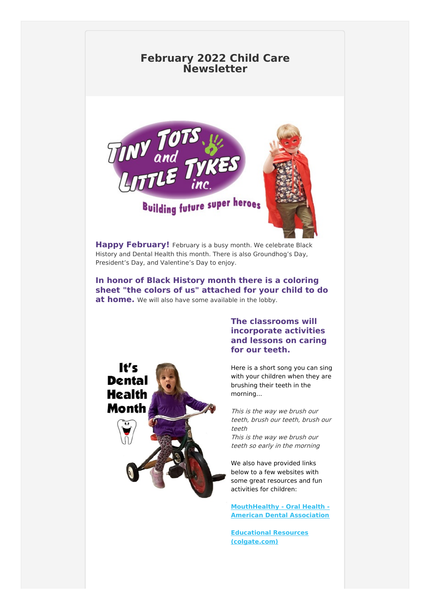# **February 2022 Child Care Newsletter**



**Building future super heroes** 

**Happy February!** February is a busy month. We celebrate Black History and Dental Health this month. There is also Groundhog's Day, President's Day, and Valentine's Day to enjoy.

**In honor of Black History month there is a coloring sheet "the colors of us" attached for your child to do at home.** We will also have some available in the lobby.



## **The classrooms will incorporate activities and lessons on caring for our teeth.**

Here is a short song you can sing with your children when they are brushing their teeth in the morning...

This is the way we brush our teeth, brush our teeth, brush our teeth

This is the way we brush our teeth so early in the morning

We also have provided links below to a few websites with some great resources and fun activities for children:

**[MouthHealthy](https://www.mouthhealthy.org/en/) - Oral Health - American Dental Association**

**Educational Resources [\(colgate.com\)](https://www.colgate.com/en-us/oral-health-education/educational-resources)**